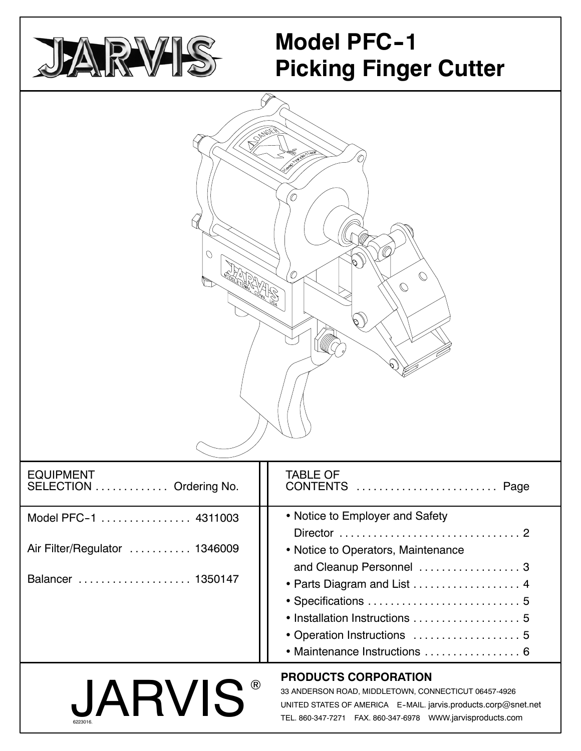

# **Model PFC-1 Picking Finger Cutter**

| <b>PORTER</b><br>0<br>O<br>O.<br>O<br>$\mathbb{O}$<br>$\mathbb O$ |                                                                                                                                                           |  |  |  |  |
|-------------------------------------------------------------------|-----------------------------------------------------------------------------------------------------------------------------------------------------------|--|--|--|--|
| <b>EQUIPMENT</b><br><b>SELECTION</b><br>Ordering No.              | <b>TABLE OF</b><br><b>CONTENTS</b><br>Page                                                                                                                |  |  |  |  |
| Model PFC-1  4311003                                              | • Notice to Employer and Safety                                                                                                                           |  |  |  |  |
| Air Filter/Regulator  1346009                                     | • Notice to Operators, Maintenance                                                                                                                        |  |  |  |  |
| Balancer  1350147                                                 | and Cleanup Personnel  3<br>• Parts Diagram and List  4<br>• Installation Instructions  5<br>• Operation Instructions  5<br>• Maintenance Instructions  6 |  |  |  |  |
| <b>JARVIS</b>                                                     | <b>PRODUCTS CORPORATION</b><br>33 ANDERSON ROAD, MIDDLETOWN, CONNECTICUT 06457-4926<br>UNITED STATES OF AMERICA E-MAIL. jarvis.products.corp@snet.net     |  |  |  |  |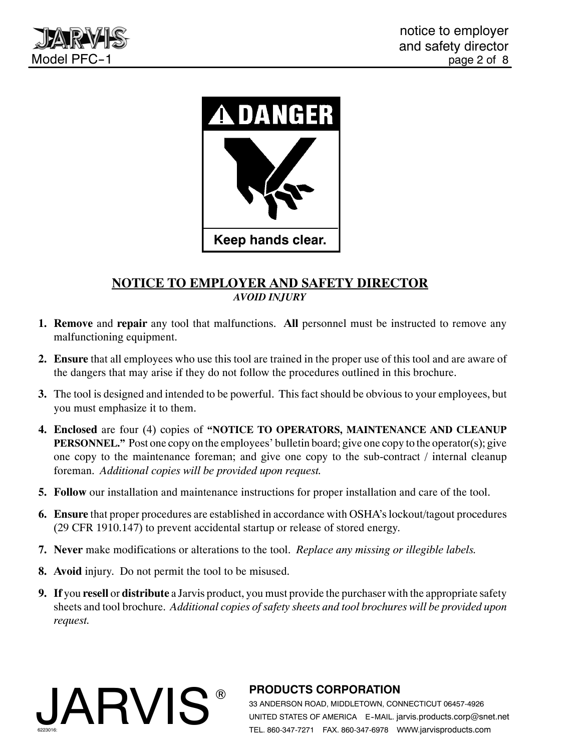





# **NOTICE TO EMPLOYER AND SAFETY DIRECTOR** *AVOID INJURY*

- **1. Remove** and **repair** any tool that malfunctions. **All** personnel must be instructed to remove any malfunctioning equipment.
- **2. Ensure** that all employees who use this tool are trained in the proper use of this tool and are aware of the dangers that may arise if they do not follow the procedures outlined in this brochure.
- **3.** The tool is designed and intended to be powerful. This fact should be obvious to your employees, but you must emphasize it to them.
- **4. Enclosed** are four (4) copies of **"NOTICE TO OPERATORS, MAINTENANCE AND CLEANUP PERSONNEL."** Post one copy on the employees' bulletin board; give one copy to the operator(s); give one copy to the maintenance foreman; and give one copy to the sub-contract / internal cleanup foreman. *Additional copies will be provided upon request.*
- **5. Follow** our installation and maintenance instructions for proper installation and care of the tool.
- **6. Ensure** that proper procedures are established in accordance with OSHA's lockout/tagout procedures (29 CFR 1910.147) to prevent accidental startup or release of stored energy.
- **7. Never** make modifications or alterations to the tool. *Replace any missing or illegible labels.*
- **8. Avoid** injury. Do not permit the tool to be misused.
- **9. If** you **resell** or **distribute** a Jarvis product, you must provide the purchaser with the appropriate safety sheets and tool brochure. *Additional copies of safety sheets and tool brochures will be provided upon request.*



# ® **PRODUCTS CORPORATION**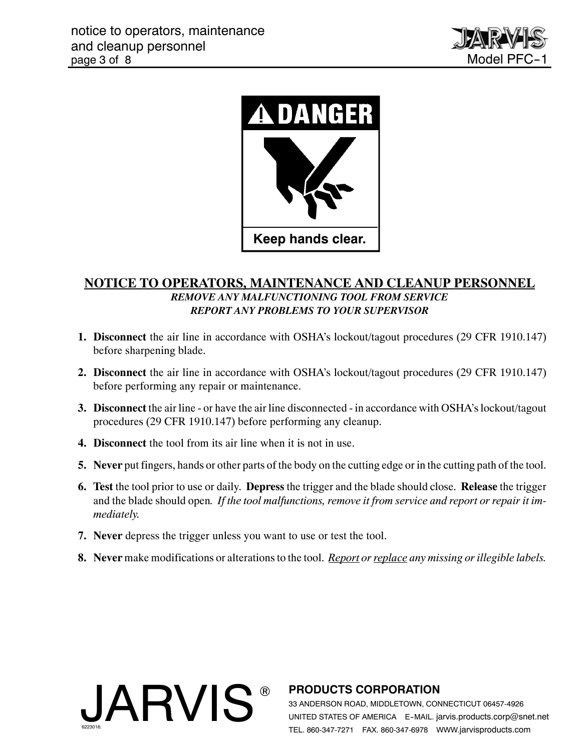



# **NOTICE TO OPERATORS, MAINTENANCE AND CLEANUP PERSONNEL** *REMOVE ANY MALFUNCTIONING TOOL FROM SERVICE REPORT ANY PROBLEMS TO YOUR SUPERVISOR*

- **1. Disconnect** the air line in accordance with OSHA's lockout/tagout procedures (29 CFR 1910.147) before sharpening blade.
- **2. Disconnect** the air line in accordance with OSHA's lockout/tagout procedures (29 CFR 1910.147) before performing any repair or maintenance.
- **3. Disconnect** the air line or have the air line disconnected in accordance with OSHA's lockout/tagout procedures (29 CFR 1910.147) before performing any cleanup.
- **4. Disconnect** the tool from its air line when it is not in use.
- **5. Never** put fingers, hands or other parts of the body on the cutting edge or in the cutting path of the tool.
- **6. Test** the tool prior to use or daily. **Depress** the trigger and the blade should close. **Release** the trigger and the blade should open*. If the tool malfunctions, remove it from service and report or repair it immediately.*
- **7. Never** depress the trigger unless you want to use or test the tool.
- **8. Never** make modifications or alterations to the tool. *Report or replace any missing or illegible labels.*



# ® **PRODUCTS CORPORATION**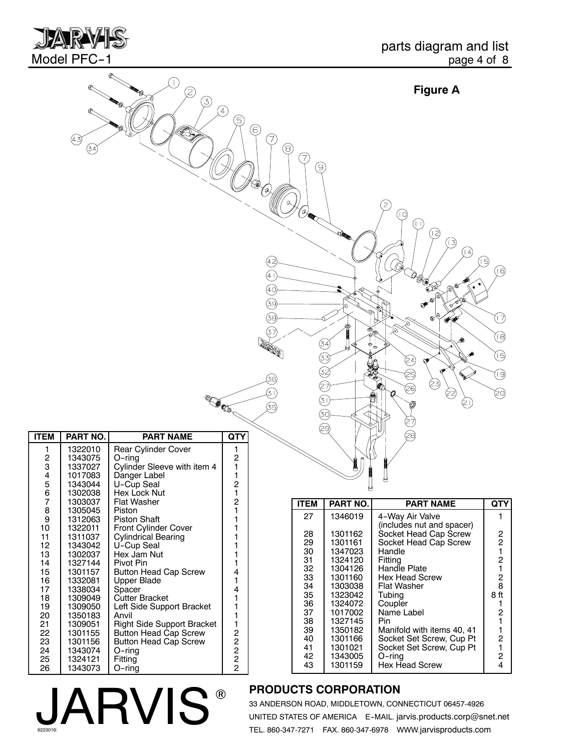

|                                                                                      |                                                                                                                                                                   | (2)<br>3)                                                                                                                                                                                                                                                                                                           | A)<br>(5)                                                                                     |                                          |                                                                            |                                                                                                                                             | <b>Figure A</b>                                                                                                                                                                                                                                             |                                                                                                                                                                         |
|--------------------------------------------------------------------------------------|-------------------------------------------------------------------------------------------------------------------------------------------------------------------|---------------------------------------------------------------------------------------------------------------------------------------------------------------------------------------------------------------------------------------------------------------------------------------------------------------------|-----------------------------------------------------------------------------------------------|------------------------------------------|----------------------------------------------------------------------------|---------------------------------------------------------------------------------------------------------------------------------------------|-------------------------------------------------------------------------------------------------------------------------------------------------------------------------------------------------------------------------------------------------------------|-------------------------------------------------------------------------------------------------------------------------------------------------------------------------|
|                                                                                      | $\bigcirc$<br>(34                                                                                                                                                 |                                                                                                                                                                                                                                                                                                                     |                                                                                               | 6<br>7<br>⊛<br>Θ,<br>(42<br>(4 i         | 7,<br>9,<br>ά                                                              |                                                                                                                                             | 2<br>(10)<br>(FT)<br>12)<br>િ<br>14)                                                                                                                                                                                                                        | 侗<br>顺                                                                                                                                                                  |
|                                                                                      |                                                                                                                                                                   | <b>COMES</b>                                                                                                                                                                                                                                                                                                        |                                                                                               | (40)<br>હિ<br>ශු<br>37<br>36)<br>T)<br>ශ |                                                                            | $\Phi_{\!\scriptscriptstyle (\!\varsigma\!)}$<br>(34)<br>છે<br>۞<br>$\circledS$<br>29)                                                      | <b>LOCAL CONTROL</b><br>Q<br>Ŵ<br>Q<br>$\sigma$<br>$\infty$<br>$\phi^{\Phi}$<br>(24)<br>ଙ<br>☺<br>(23)<br>⊗<br>(දු<br>E<br>E                                                                                                                                | Q<br>⑱<br>⑯<br>৩<br>ම                                                                                                                                                   |
| <b>ITEM</b>                                                                          | PART NO.                                                                                                                                                          | <b>PART NAME</b>                                                                                                                                                                                                                                                                                                    | QTY                                                                                           |                                          |                                                                            |                                                                                                                                             | ව                                                                                                                                                                                                                                                           |                                                                                                                                                                         |
| 1<br>2<br>3<br>4<br>5<br>6                                                           | 1322010<br>1343075<br>1337027<br>1017083<br>1343044<br>1302038                                                                                                    | Rear Cylinder Cover<br>$O$ -ring<br>Cylinder Sleeve with item 4<br>Danger Label<br>U-Cup Seal<br>Hex Lock Nut                                                                                                                                                                                                       | 1<br>2<br>1<br>1<br>2<br>1                                                                    |                                          |                                                                            |                                                                                                                                             |                                                                                                                                                                                                                                                             |                                                                                                                                                                         |
| 7                                                                                    | 1303037                                                                                                                                                           | Flat Washer                                                                                                                                                                                                                                                                                                         | 2                                                                                             |                                          | <b>ITEM</b>                                                                | PART NO.                                                                                                                                    | <b>PART NAME</b>                                                                                                                                                                                                                                            | <b>QTY</b>                                                                                                                                                              |
| 8<br>9<br>10<br>11<br>12<br>13<br>14<br>15<br>16<br>17<br>18<br>19<br>20<br>21<br>22 | 1305045<br>1312063<br>1322011<br>1311037<br>1343042<br>1302037<br>1327144<br>1301157<br>1332081<br>1338034<br>1309049<br>1309050<br>1350183<br>1309051<br>1301155 | Piston<br>Piston Shaft<br>Front Cylinder Cover<br><b>Cylindrical Bearing</b><br>U-Cup Seal<br>Hex Jam Nut<br>Pivot Pin<br><b>Button Head Cap Screw</b><br><b>Upper Blade</b><br>Spacer<br>Cutter Bracket<br>Left Side Support Bracket<br>Anvil<br><b>Right Side Support Bracket</b><br><b>Button Head Cap Screw</b> | 1<br>1<br>1<br>1<br>1<br>1<br>1<br>4<br>1<br>4<br>1<br>1<br>1<br>1<br>$\overline{\mathbf{c}}$ |                                          | 27<br>28<br>29<br>30<br>31<br>32<br>33<br>34<br>35<br>36<br>37<br>38<br>39 | 1346019<br>1301162<br>1301161<br>1347023<br>1324120<br>1304126<br>1301160<br>1303038<br>1323042<br>1324072<br>1017002<br>1327145<br>1350182 | 4-Way Air Valve<br>(includes nut and spacer)<br>Socket Head Cap Screw<br>Socket Head Cap Screw<br>Handle<br>Fitting<br>Handle Plate<br><b>Hex Head Screw</b><br><b>Flat Washer</b><br>Tubing<br>Coupler<br>Name Label<br>Pin.<br>Manifold with items 40, 41 | 1<br>$\overline{\mathbf{c}}$<br>$\frac{2}{1}$<br>$\begin{array}{c} 2 \\ 1 \end{array}$<br>$\mathbf 2$<br>8<br>8ft<br>1.<br>$\overline{\mathbf{c}}$<br>1<br>$\mathbf{1}$ |

# **JARVIS®**

# ® **PRODUCTS CORPORATION**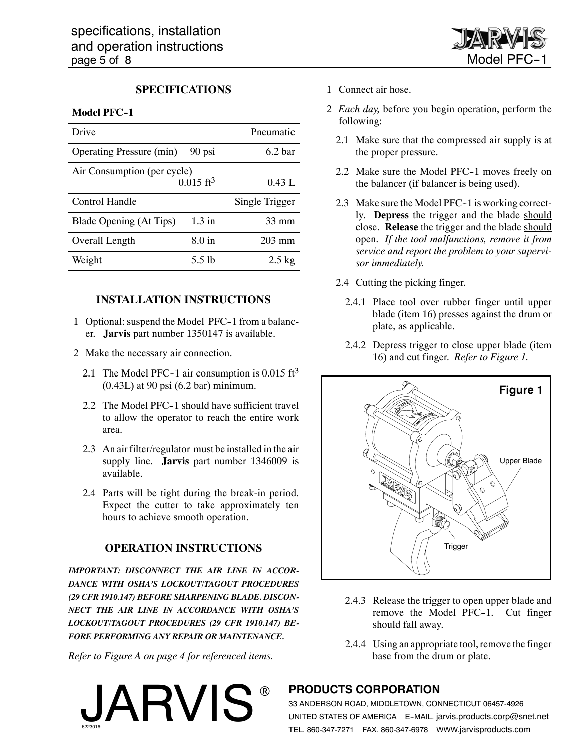

#### **SPECIFICATIONS**

#### **Model PFC-1**

| Drive                           |                         | Pneumatic          |  |  |  |  |
|---------------------------------|-------------------------|--------------------|--|--|--|--|
| <b>Operating Pressure (min)</b> | 90 psi                  | 6.2 <sub>bar</sub> |  |  |  |  |
| Air Consumption (per cycle)     |                         |                    |  |  |  |  |
|                                 | $0.015$ ft <sup>3</sup> | 0.43 L             |  |  |  |  |
| Control Handle                  |                         | Single Trigger     |  |  |  |  |
| Blade Opening (At Tips)         | $1.3$ in                | $33 \text{ mm}$    |  |  |  |  |
| Overall Length                  | 8.0 <sub>in</sub>       | $203 \text{ mm}$   |  |  |  |  |
| Weight                          | 5.5 lb                  | $2.5 \text{ kg}$   |  |  |  |  |

#### **INSTALLATION INSTRUCTIONS**

- 1 Optional: suspend the Model PFC-1 from a balancer. **Jarvis** part number 1350147 is available.
- 2 Make the necessary air connection.
	- 2.1 The Model PFC-1 air consumption is  $0.015 \text{ ft}^3$ (0.43L) at 90 psi (6.2 bar) minimum.
	- 2.2 The Model PFC-1 should have sufficient travel to allow the operator to reach the entire work area.
	- 2.3 An air filter/regulator must be installed in the air supply line. **Jarvis** part number 1346009 is available.
	- 2.4 Parts will be tight during the break-in period. Expect the cutter to take approximately ten hours to achieve smooth operation.

#### **OPERATION INSTRUCTIONS**

*IMPORTANT: DISCONNECT THE AIR LINE IN ACCOR-DANCE WITH OSHA'S LOCKOUT/TAGOUT PROCEDURES (29 CFR 1910.147) BEFORE SHARPENING BLADE. DISCON-NECT THE AIR LINE IN ACCORDANCE WITH OSHA'S LOCKOUT/TAGOUT PROCEDURES (29 CFR 1910.147) BE-FORE PERFORMING ANY REPAIR OR MAINTENANCE.*

*Refer to Figure A on page 4 for referenced items.*

**JARVIS** 

- 1 Connect air hose.
- 2 *Each day,* before you begin operation, perform the following:
	- 2.1 Make sure that the compressed air supply is at the proper pressure.
	- 2.2 Make sure the Model PFC-1 moves freely on the balancer (if balancer is being used).
	- 2.3 Make sure the Model PFC-1 is working correctly. **Depress** the trigger and the blade should close. **Release** the trigger and the blade should open. *If the tool malfunctions, remove it from service and report the problem to your supervisor immediately.*
	- 2.4 Cutting the picking finger.
		- 2.4.1 Place tool over rubber finger until upper blade (item 16) presses against the drum or plate, as applicable.
		- 2.4.2 Depress trigger to close upper blade (item 16) and cut finger. *Refer to Figure 1.*



- 2.4.3 Release the trigger to open upper blade and remove the Model PFC-1. Cut finger should fall away.
- 2.4.4 Using an appropriate tool, remove the finger base from the drum or plate.

### ® **PRODUCTS CORPORATION**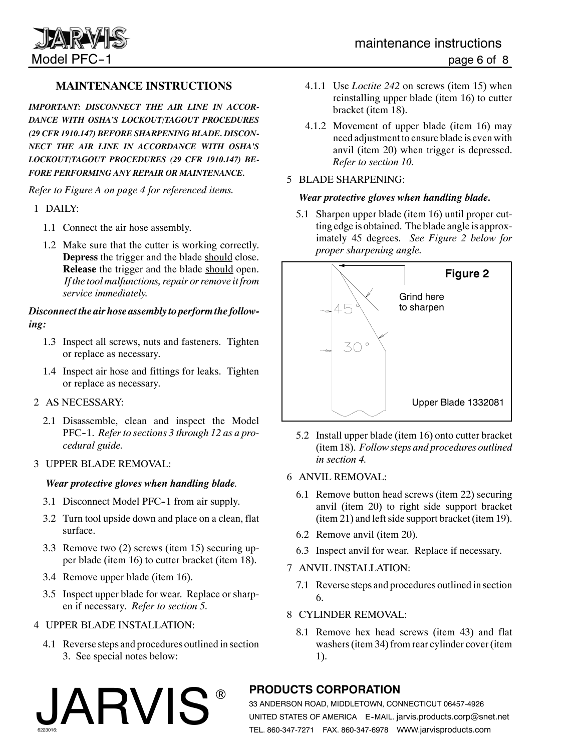

# **MAINTENANCE INSTRUCTIONS**

*IMPORTANT: DISCONNECT THE AIR LINE IN ACCOR-DANCE WITH OSHA'S LOCKOUT/TAGOUT PROCEDURES (29 CFR 1910.147) BEFORE SHARPENING BLADE. DISCON-NECT THE AIR LINE IN ACCORDANCE WITH OSHA'S LOCKOUT/TAGOUT PROCEDURES (29 CFR 1910.147) BE-FORE PERFORMING ANY REPAIR OR MAINTENANCE.*

*Refer to Figure A on page 4 for referenced items.*

- 1 DAILY:
	- 1.1 Connect the air hose assembly.
	- 1.2 Make sure that the cutter is working correctly. **Depress** the trigger and the blade should close. **Release** the trigger and the blade should open. *If the tool malfunctions, repair or remove it from service immediately.*

#### *Disconnect the air hose assembly to perform the following:*

- 1.3 Inspect all screws, nuts and fasteners. Tighten or replace as necessary.
- 1.4 Inspect air hose and fittings for leaks. Tighten or replace as necessary.

#### 2 AS NECESSARY:

2.1 Disassemble, clean and inspect the Model PFC-1. *Refer to sections 3 through 12 as a procedural guide.*

#### 3 UPPER BLADE REMOVAL:

#### *Wear protective gloves when handling blade.*

- 3.1 Disconnect Model PFC-1 from air supply.
- 3.2 Turn tool upside down and place on a clean, flat surface.
- 3.3 Remove two (2) screws (item 15) securing upper blade (item 16) to cutter bracket (item 18).
- 3.4 Remove upper blade (item 16).
- 3.5 Inspect upper blade for wear. Replace or sharpen if necessary. *Refer to section 5.*

#### 4 UPPER BLADE INSTALLATION:

JARVIS

4.1 Reverse steps and procedures outlined in section 3. See special notes below:

- 4.1.1 Use *Loctite 242* on screws (item 15) when reinstalling upper blade (item 16) to cutter bracket (item 18).
- 4.1.2 Movement of upper blade (item 16) may need adjustment to ensure blade is even with anvil (item 20) when trigger is depressed. *Refer to section 10.*

#### 5 BLADE SHARPENING:

#### *Wear protective gloves when handling blade.*

5.1 Sharpen upper blade (item 16) until proper cutting edge is obtained. The blade angle is approximately 45 degrees. *See Figure 2 below for proper sharpening angle.*



- 5.2 Install upper blade (item 16) onto cutter bracket (item 18). *Follow steps and procedures outlined in section 4.*
- 6 ANVIL REMOVAL:
	- 6.1 Remove button head screws (item 22) securing anvil (item 20) to right side support bracket (item 21) and left side support bracket (item 19).
	- 6.2 Remove anvil (item 20).
	- 6.3 Inspect anvil for wear. Replace if necessary.
- 7 ANVIL INSTALLATION:
	- 7.1 Reverse steps and procedures outlined in section 6.
- 8 CYLINDER REMOVAL:
	- 8.1 Remove hex head screws (item 43) and flat washers (item 34) from rear cylinder cover (item 1).

# ® **PRODUCTS CORPORATION**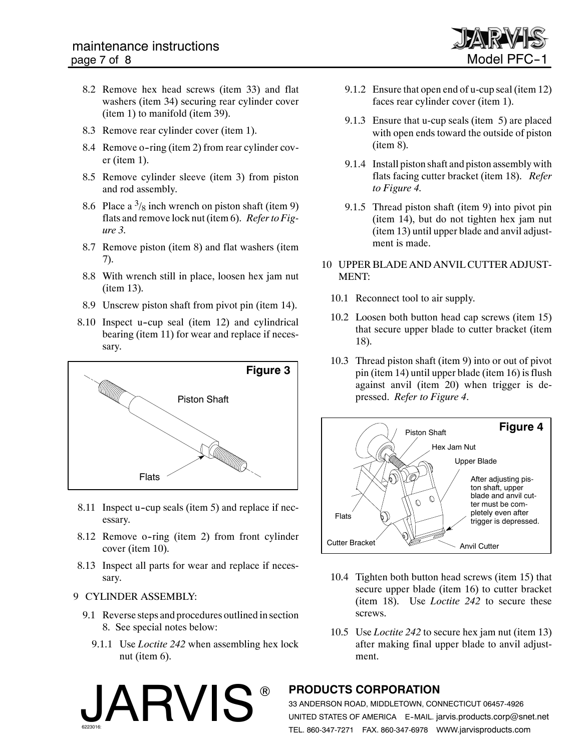

- 8.2 Remove hex head screws (item 33) and flat washers (item 34) securing rear cylinder cover (item 1) to manifold (item 39).
- 8.3 Remove rear cylinder cover (item 1).
- 8.4 Remove o-ring (item 2) from rear cylinder cover (item 1).
- 8.5 Remove cylinder sleeve (item 3) from piston and rod assembly.
- 8.6 Place a  $\frac{3}{8}$  inch wrench on piston shaft (item 9) flats and remove lock nut (item 6). *Refer to Figure 3.*
- 8.7 Remove piston (item 8) and flat washers (item 7).
- 8.8 With wrench still in place, loosen hex jam nut (item 13).
- 8.9 Unscrew piston shaft from pivot pin (item 14).
- 8.10 Inspect u-cup seal (item 12) and cylindrical bearing (item 11) for wear and replace if necessary.



- 8.11 Inspect u-cup seals (item 5) and replace if necessary.
- 8.12 Remove o-ring (item 2) from front cylinder cover (item 10).
- 8.13 Inspect all parts for wear and replace if necessary.

#### 9 CYLINDER ASSEMBLY:

- 9.1 Reverse steps and procedures outlined in section 8. See special notes below:
	- 9.1.1 Use *Loctite 242* when assembling hex lock nut (item 6).

JARVIS



- 9.1.3 Ensure that u-cup seals (item 5) are placed with open ends toward the outside of piston (item 8).
- 9.1.4 Install piston shaft and piston assembly with flats facing cutter bracket (item 18). *Refer to Figure 4.*
- 9.1.5 Thread piston shaft (item 9) into pivot pin (item 14), but do not tighten hex jam nut (item 13) until upper blade and anvil adjustment is made.
- 10 UPPER BLADE AND ANVIL CUTTER ADJUST-MENT:
	- 10.1 Reconnect tool to air supply.
	- 10.2 Loosen both button head cap screws (item 15) that secure upper blade to cutter bracket (item 18).
	- 10.3 Thread piston shaft (item 9) into or out of pivot pin (item 14) until upper blade (item 16) is flush against anvil (item 20) when trigger is depressed. *Refer to Figure 4*.



- 10.4 Tighten both button head screws (item 15) that secure upper blade (item 16) to cutter bracket (item 18). Use *Loctite 242* to secure these screws.
- 10.5 Use *Loctite 242* to secure hex jam nut (item 13) after making final upper blade to anvil adjustment.

# ® **PRODUCTS CORPORATION**